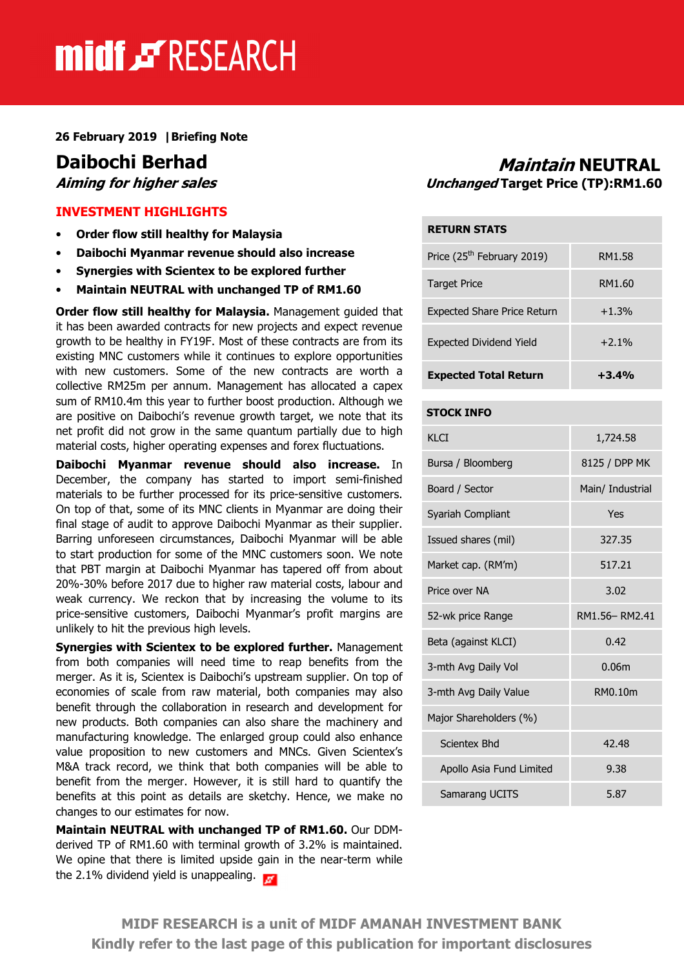# midf & RESEARCH

26 February 2019 |Briefing Note

### INVESTMENT HIGHLIGHTS

- Order flow still healthy for Malaysia
- Daibochi Myanmar revenue should also increase
- Synergies with Scientex to be explored further
- Maintain NEUTRAL with unchanged TP of RM1.60

Order flow still healthy for Malaysia. Management quided that it has been awarded contracts for new projects and expect revenue growth to be healthy in FY19F. Most of these contracts are from its existing MNC customers while it continues to explore opportunities with new customers. Some of the new contracts are worth a collective RM25m per annum. Management has allocated a capex sum of RM10.4m this year to further boost production. Although we are positive on Daibochi's revenue growth target, we note that its net profit did not grow in the same quantum partially due to high material costs, higher operating expenses and forex fluctuations.

Daibochi Myanmar revenue should also increase. In December, the company has started to import semi-finished materials to be further processed for its price-sensitive customers. On top of that, some of its MNC clients in Myanmar are doing their final stage of audit to approve Daibochi Myanmar as their supplier. Barring unforeseen circumstances, Daibochi Myanmar will be able to start production for some of the MNC customers soon. We note that PBT margin at Daibochi Myanmar has tapered off from about 20%-30% before 2017 due to higher raw material costs, labour and weak currency. We reckon that by increasing the volume to its price-sensitive customers, Daibochi Myanmar's profit margins are unlikely to hit the previous high levels.

Synergies with Scientex to be explored further. Management from both companies will need time to reap benefits from the merger. As it is, Scientex is Daibochi's upstream supplier. On top of economies of scale from raw material, both companies may also benefit through the collaboration in research and development for new products. Both companies can also share the machinery and manufacturing knowledge. The enlarged group could also enhance value proposition to new customers and MNCs. Given Scientex's M&A track record, we think that both companies will be able to benefit from the merger. However, it is still hard to quantify the benefits at this point as details are sketchy. Hence, we make no changes to our estimates for now.

Maintain NEUTRAL with unchanged TP of RM1.60. Our DDMderived TP of RM1.60 with terminal growth of 3.2% is maintained. We opine that there is limited upside gain in the near-term while the 2.1% dividend yield is unappealing.

# **Daibochi Berhad**<br>*Aiming for higher sales* Maintain MEUTRAL *Aiming for higher sales* Unchanged Target Price (TP):RM1.60

| <b>RETURN STATS</b>                    |         |  |  |
|----------------------------------------|---------|--|--|
| Price (25 <sup>th</sup> February 2019) | RM1.58  |  |  |
| <b>Target Price</b>                    | RM1.60  |  |  |
| <b>Expected Share Price Return</b>     | $+1.3%$ |  |  |
| <b>Expected Dividend Yield</b>         | $+2.1%$ |  |  |
| <b>Expected Total Return</b>           | $+3.4%$ |  |  |

#### STOCK INFO

| KI CT                    | 1,724.58         |  |  |
|--------------------------|------------------|--|--|
| Bursa / Bloomberg        | 8125 / DPP MK    |  |  |
| Board / Sector           | Main/ Industrial |  |  |
| Syariah Compliant        | Yes              |  |  |
| Issued shares (mil)      | 327.35           |  |  |
| Market cap. (RM'm)       | 517.21           |  |  |
| Price over NA            | 3.02             |  |  |
| 52-wk price Range        | RM1.56-RM2.41    |  |  |
| Beta (against KLCI)      | 0.42             |  |  |
| 3-mth Avg Daily Vol      | 0.06m            |  |  |
| 3-mth Avg Daily Value    | RM0.10m          |  |  |
| Major Shareholders (%)   |                  |  |  |
| Scientex Bhd             | 42.48            |  |  |
| Apollo Asia Fund Limited | 9.38             |  |  |
| Samarang UCITS           | 5.87             |  |  |

MIDF RESEARCH is a unit of MIDF AMANAH INVESTMENT BANK Kindly refer to the last page of this publication for important disclosures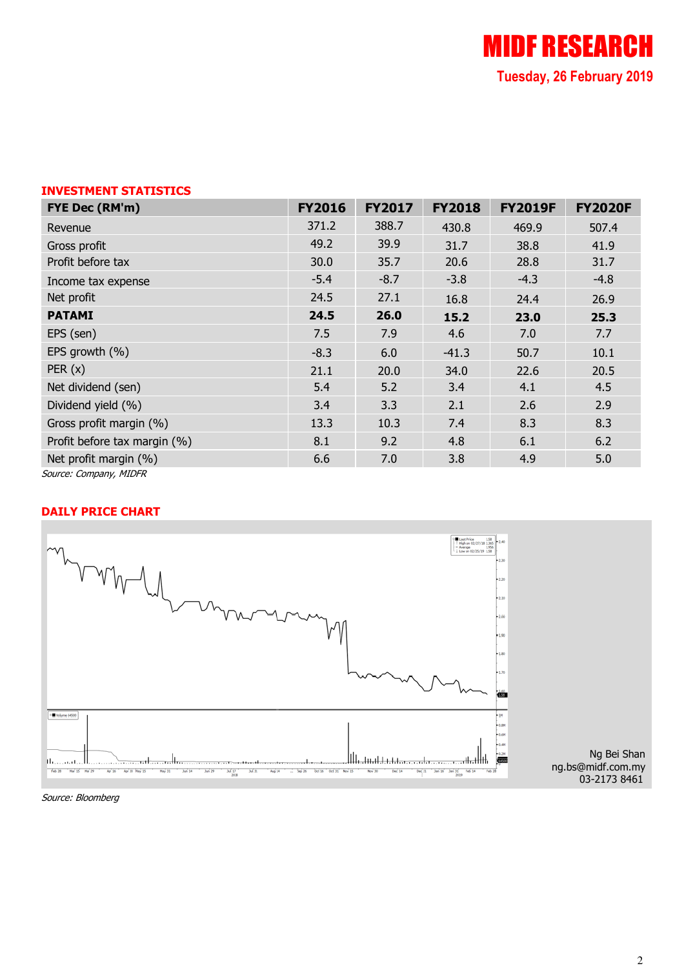# INVESTMENT STATISTICS

| FYE Dec (RM'm)               | <b>FY2016</b> | <b>FY2017</b> | <b>FY2018</b> | <b>FY2019F</b> | <b>FY2020F</b> |
|------------------------------|---------------|---------------|---------------|----------------|----------------|
| Revenue                      | 371.2         | 388.7         | 430.8         | 469.9          | 507.4          |
| Gross profit                 | 49.2          | 39.9          | 31.7          | 38.8           | 41.9           |
| Profit before tax            | 30.0          | 35.7          | 20.6          | 28.8           | 31.7           |
| Income tax expense           | $-5.4$        | $-8.7$        | $-3.8$        | $-4.3$         | $-4.8$         |
| Net profit                   | 24.5          | 27.1          | 16.8          | 24.4           | 26.9           |
| <b>PATAMI</b>                | 24.5          | 26.0          | 15.2          | 23.0           | 25.3           |
| EPS (sen)                    | 7.5           | 7.9           | 4.6           | 7.0            | 7.7            |
| EPS growth (%)               | $-8.3$        | 6.0           | $-41.3$       | 50.7           | 10.1           |
| PER(x)                       | 21.1          | 20.0          | 34.0          | 22.6           | 20.5           |
| Net dividend (sen)           | 5.4           | 5.2           | 3.4           | 4.1            | 4.5            |
| Dividend yield (%)           | 3.4           | 3.3           | 2.1           | 2.6            | 2.9            |
| Gross profit margin (%)      | 13.3          | 10.3          | 7.4           | 8.3            | 8.3            |
| Profit before tax margin (%) | 8.1           | 9.2           | 4.8           | 6.1            | 6.2            |
| Net profit margin (%)        | 6.6           | 7.0           | 3.8           | 4.9            | 5.0            |
| Source: Company, MIDFR       |               |               |               |                |                |

# DAILY PRICE CHART



Source: Bloomberg